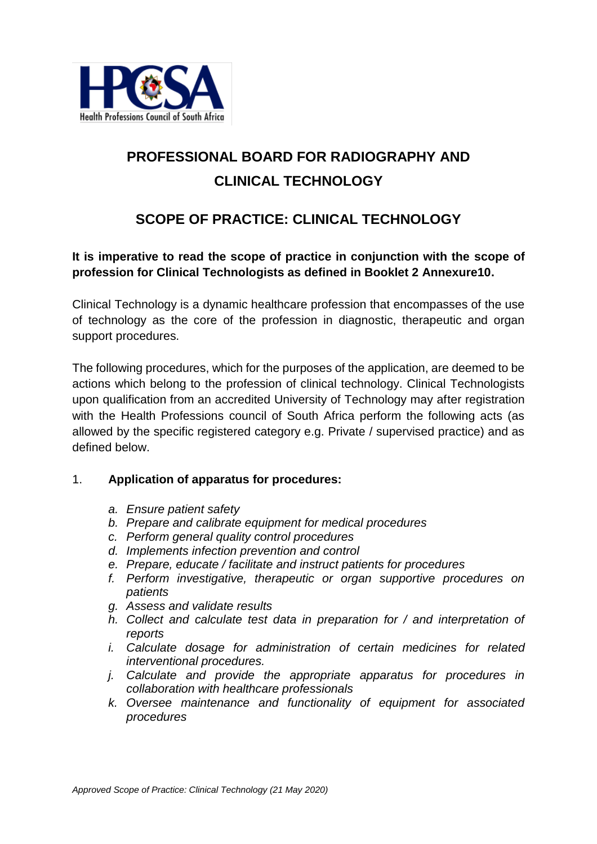

# **PROFESSIONAL BOARD FOR RADIOGRAPHY AND CLINICAL TECHNOLOGY**

# **SCOPE OF PRACTICE: CLINICAL TECHNOLOGY**

## **It is imperative to read the scope of practice in conjunction with the scope of profession for Clinical Technologists as defined in Booklet 2 Annexure10.**

Clinical Technology is a dynamic healthcare profession that encompasses of the use of technology as the core of the profession in diagnostic, therapeutic and organ support procedures.

The following procedures, which for the purposes of the application, are deemed to be actions which belong to the profession of clinical technology. Clinical Technologists upon qualification from an accredited University of Technology may after registration with the Health Professions council of South Africa perform the following acts (as allowed by the specific registered category e.g. Private / supervised practice) and as defined below.

#### 1. **Application of apparatus for procedures:**

- *a. Ensure patient safety*
- *b. Prepare and calibrate equipment for medical procedures*
- *c. Perform general quality control procedures*
- *d. Implements infection prevention and control*
- *e. Prepare, educate / facilitate and instruct patients for procedures*
- *f. Perform investigative, therapeutic or organ supportive procedures on patients*
- *g. Assess and validate results*
- *h. Collect and calculate test data in preparation for / and interpretation of reports*
- *i. Calculate dosage for administration of certain medicines for related interventional procedures.*
- *j. Calculate and provide the appropriate apparatus for procedures in collaboration with healthcare professionals*
- *k. Oversee maintenance and functionality of equipment for associated procedures*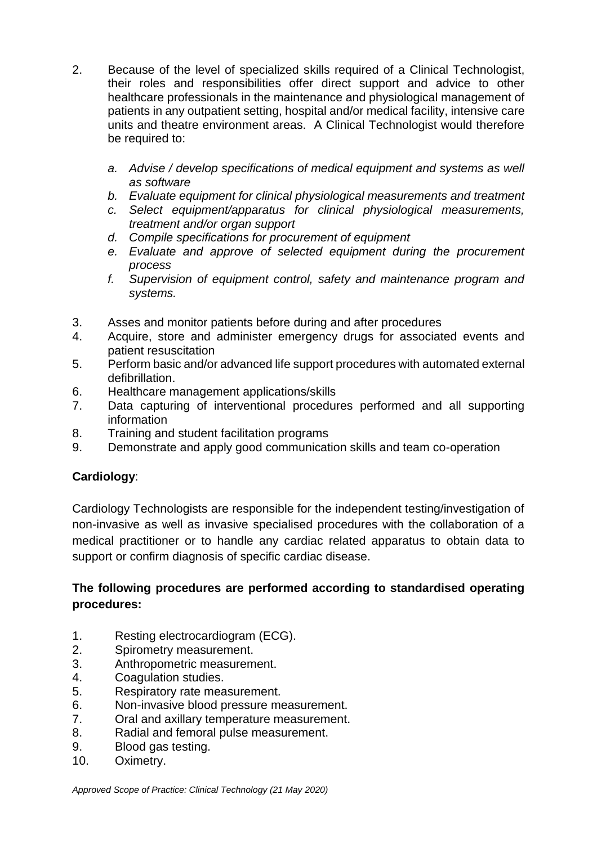- 2. Because of the level of specialized skills required of a Clinical Technologist, their roles and responsibilities offer direct support and advice to other healthcare professionals in the maintenance and physiological management of patients in any outpatient setting, hospital and/or medical facility, intensive care units and theatre environment areas. A Clinical Technologist would therefore be required to:
	- *a. Advise / develop specifications of medical equipment and systems as well as software*
	- *b. Evaluate equipment for clinical physiological measurements and treatment*
	- *c. Select equipment/apparatus for clinical physiological measurements, treatment and/or organ support*
	- *d. Compile specifications for procurement of equipment*
	- *e. Evaluate and approve of selected equipment during the procurement process*
	- *f. Supervision of equipment control, safety and maintenance program and systems.*
- 3. Asses and monitor patients before during and after procedures
- 4. Acquire, store and administer emergency drugs for associated events and patient resuscitation
- 5. Perform basic and/or advanced life support procedures with automated external defibrillation.
- 6. Healthcare management applications/skills
- 7. Data capturing of interventional procedures performed and all supporting information
- 8. Training and student facilitation programs
- 9. Demonstrate and apply good communication skills and team co-operation

## **Cardiology**:

Cardiology Technologists are responsible for the independent testing/investigation of non-invasive as well as invasive specialised procedures with the collaboration of a medical practitioner or to handle any cardiac related apparatus to obtain data to support or confirm diagnosis of specific cardiac disease.

- 1. Resting electrocardiogram (ECG).
- 2. Spirometry measurement.
- 3. Anthropometric measurement.
- 4. Coagulation studies.
- 5. Respiratory rate measurement.
- 6. Non-invasive blood pressure measurement.
- 7. Oral and axillary temperature measurement.
- 8. Radial and femoral pulse measurement.
- 9. Blood gas testing.
- 10. Oximetry.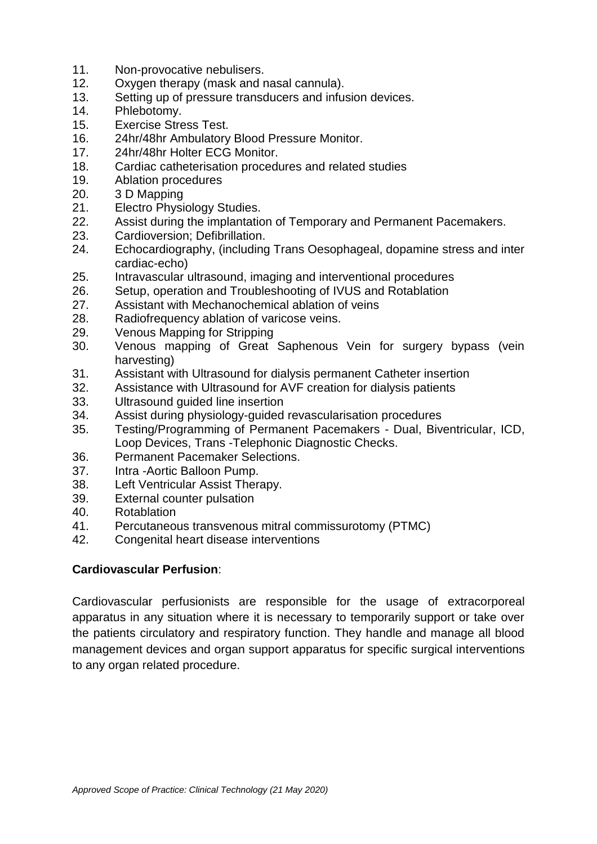- 11. Non-provocative nebulisers.<br>12. Oxygen therapy (mask and r
- Oxygen therapy (mask and nasal cannula).
- 13. Setting up of pressure transducers and infusion devices.
- 14. Phlebotomy.
- 15. Exercise Stress Test.
- 16. 24hr/48hr Ambulatory Blood Pressure Monitor.<br>17. 24hr/48hr Holter ECG Monitor.
- 24hr/48hr Holter ECG Monitor.
- 18. Cardiac catheterisation procedures and related studies
- 19. Ablation procedures
- 20. 3 D Mapping<br>21. Electro Physi
- Electro Physiology Studies.
- 22. Assist during the implantation of Temporary and Permanent Pacemakers.
- 23. Cardioversion; Defibrillation.
- 24. Echocardiography, (including Trans Oesophageal, dopamine stress and inter cardiac-echo)
- 25. Intravascular ultrasound, imaging and interventional procedures
- 26. Setup, operation and Troubleshooting of IVUS and Rotablation
- 27. Assistant with Mechanochemical ablation of veins
- 28. Radiofrequency ablation of varicose veins.
- 29. Venous Mapping for Stripping
- 30. Venous mapping of Great Saphenous Vein for surgery bypass (vein harvesting)
- 31. Assistant with Ultrasound for dialysis permanent Catheter insertion
- 32. Assistance with Ultrasound for AVF creation for dialysis patients
- 33. Ultrasound guided line insertion
- 34. Assist during physiology-guided revascularisation procedures
- 35. Testing/Programming of Permanent Pacemakers Dual, Biventricular, ICD, Loop Devices, Trans -Telephonic Diagnostic Checks.
- 36. Permanent Pacemaker Selections.
- 37. Intra -Aortic Balloon Pump.
- 38. Left Ventricular Assist Therapy.
- 39. External counter pulsation
- 40. Rotablation
- 41. Percutaneous transvenous mitral commissurotomy (PTMC)
- 42. Congenital heart disease interventions

#### **Cardiovascular Perfusion**:

Cardiovascular perfusionists are responsible for the usage of extracorporeal apparatus in any situation where it is necessary to temporarily support or take over the patients circulatory and respiratory function. They handle and manage all blood management devices and organ support apparatus for specific surgical interventions to any organ related procedure.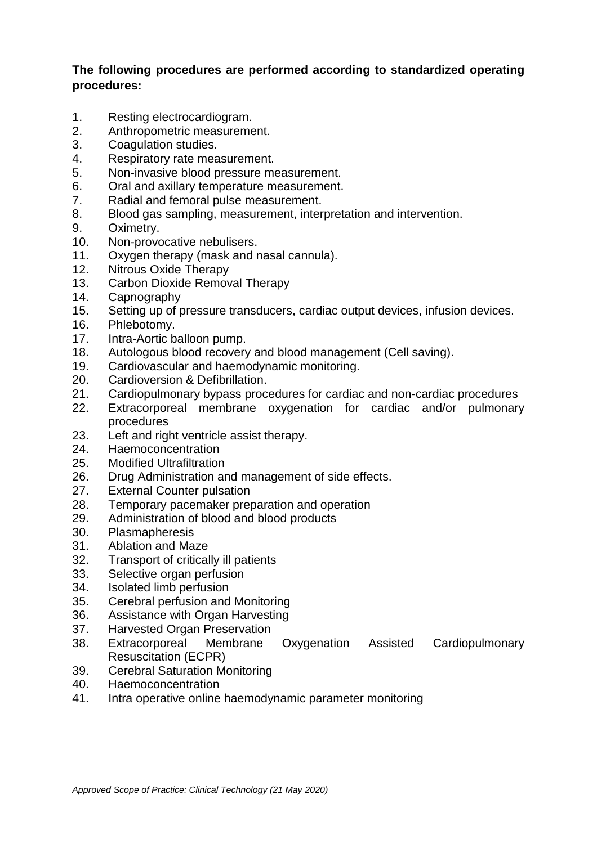- 1. Resting electrocardiogram.
- 2. Anthropometric measurement.
- 3. Coagulation studies.
- 4. Respiratory rate measurement.
- 5. Non-invasive blood pressure measurement.
- 6. Oral and axillary temperature measurement.
- 7. Radial and femoral pulse measurement.
- 8. Blood gas sampling, measurement, interpretation and intervention.
- 9. Oximetry.
- 10. Non-provocative nebulisers.
- 11. Oxygen therapy (mask and nasal cannula).
- 12. Nitrous Oxide Therapy
- 13. Carbon Dioxide Removal Therapy
- 14. Capnography
- 15. Setting up of pressure transducers, cardiac output devices, infusion devices.
- 16. Phlebotomy.<br>17. Intra-Aortic b
- Intra-Aortic balloon pump.
- 18. Autologous blood recovery and blood management (Cell saving).
- 19. Cardiovascular and haemodynamic monitoring.
- 20. Cardioversion & Defibrillation.
- 21. Cardiopulmonary bypass procedures for cardiac and non-cardiac procedures
- 22. Extracorporeal membrane oxygenation for cardiac and/or pulmonary procedures
- 23. Left and right ventricle assist therapy.
- 24. Haemoconcentration
- 25. Modified Ultrafiltration
- 26. Drug Administration and management of side effects.
- 27. External Counter pulsation
- 28. Temporary pacemaker preparation and operation
- 29. Administration of blood and blood products
- 30. Plasmapheresis
- 31. Ablation and Maze
- 32. Transport of critically ill patients
- 33. Selective organ perfusion
- 34. Isolated limb perfusion
- 35. Cerebral perfusion and Monitoring
- 36. Assistance with Organ Harvesting
- 37. Harvested Organ Preservation
- 38. Extracorporeal Membrane Oxygenation Assisted Cardiopulmonary Resuscitation (ECPR)
- 39. Cerebral Saturation Monitoring
- 40. Haemoconcentration
- 41. Intra operative online haemodynamic parameter monitoring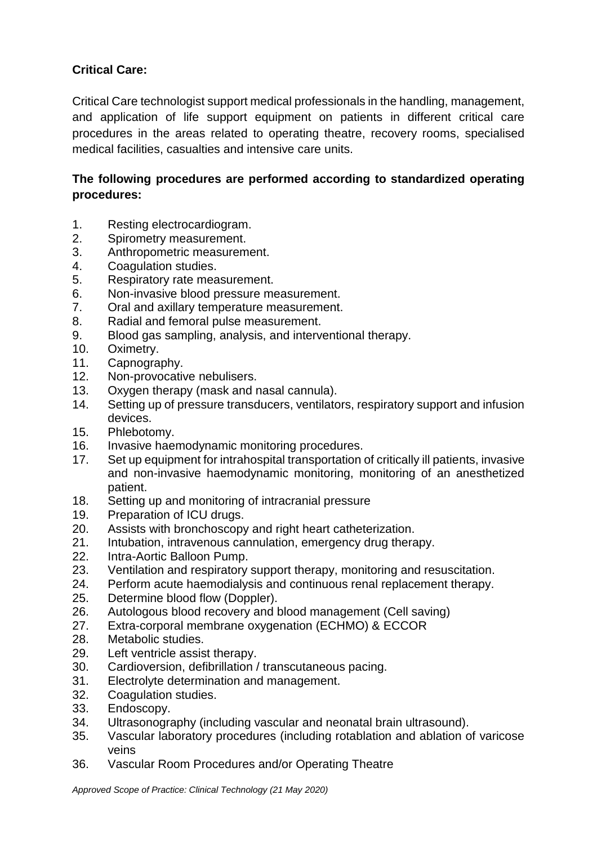## **Critical Care:**

Critical Care technologist support medical professionals in the handling, management, and application of life support equipment on patients in different critical care procedures in the areas related to operating theatre, recovery rooms, specialised medical facilities, casualties and intensive care units.

## **The following procedures are performed according to standardized operating procedures:**

- 1. Resting electrocardiogram.
- 2. Spirometry measurement.
- 3. Anthropometric measurement.
- 4. Coagulation studies.
- 5. Respiratory rate measurement.
- 6. Non-invasive blood pressure measurement.
- 7. Oral and axillary temperature measurement.
- 8. Radial and femoral pulse measurement.
- 9. Blood gas sampling, analysis, and interventional therapy.
- 10. Oximetry.
- 11. Capnography.
- 12. Non-provocative nebulisers.
- 13. Oxygen therapy (mask and nasal cannula).
- 14. Setting up of pressure transducers, ventilators, respiratory support and infusion devices.
- 15. Phlebotomy.
- 16. Invasive haemodynamic monitoring procedures.
- 17. Set up equipment for intrahospital transportation of critically ill patients, invasive and non-invasive haemodynamic monitoring, monitoring of an anesthetized patient.
- 18. Setting up and monitoring of intracranial pressure
- 19. Preparation of ICU drugs.
- 20. Assists with bronchoscopy and right heart catheterization.
- 21. Intubation, intravenous cannulation, emergency drug therapy.
- 22. Intra-Aortic Balloon Pump.
- 23. Ventilation and respiratory support therapy, monitoring and resuscitation.
- 24. Perform acute haemodialysis and continuous renal replacement therapy.
- 25. Determine blood flow (Doppler).
- 26. Autologous blood recovery and blood management (Cell saving)
- 27. Extra-corporal membrane oxygenation (ECHMO) & ECCOR
- 28. Metabolic studies.
- 29. Left ventricle assist therapy.
- 30. Cardioversion, defibrillation / transcutaneous pacing.
- 31. Electrolyte determination and management.
- 32. Coagulation studies.
- 33. Endoscopy.
- 34. Ultrasonography (including vascular and neonatal brain ultrasound).
- 35. Vascular laboratory procedures (including rotablation and ablation of varicose veins
- 36. Vascular Room Procedures and/or Operating Theatre

*Approved Scope of Practice: Clinical Technology (21 May 2020)*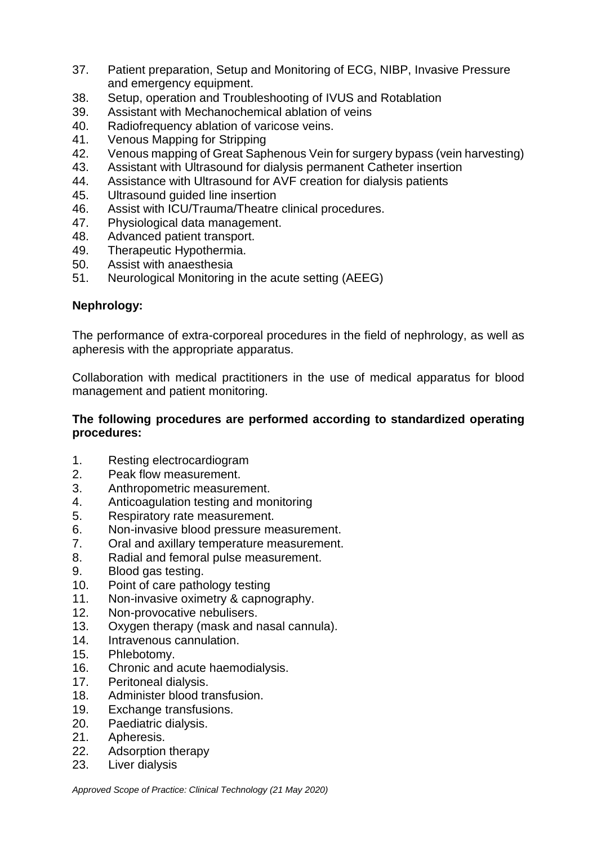- 37. Patient preparation, Setup and Monitoring of ECG, NIBP, Invasive Pressure and emergency equipment.
- 38. Setup, operation and Troubleshooting of IVUS and Rotablation
- 39. Assistant with Mechanochemical ablation of veins
- 40. Radiofrequency ablation of varicose veins.<br>41. Venous Mapping for Stripping
- Venous Mapping for Stripping
- 42. Venous mapping of Great Saphenous Vein for surgery bypass (vein harvesting)
- 43. Assistant with Ultrasound for dialysis permanent Catheter insertion<br>44. Assistance with Ultrasound for AVF creation for dialysis patients
- Assistance with Ultrasound for AVF creation for dialysis patients
- 45. Ultrasound guided line insertion
- 46. Assist with ICU/Trauma/Theatre clinical procedures.
- 47. Physiological data management.
- 48. Advanced patient transport.
- 49. Therapeutic Hypothermia.
- 50. Assist with anaesthesia
- 51. Neurological Monitoring in the acute setting (AEEG)

#### **Nephrology:**

The performance of extra-corporeal procedures in the field of nephrology, as well as apheresis with the appropriate apparatus.

Collaboration with medical practitioners in the use of medical apparatus for blood management and patient monitoring.

#### **The following procedures are performed according to standardized operating procedures:**

- 1. Resting electrocardiogram
- 2. Peak flow measurement.
- 3. Anthropometric measurement.
- 4. Anticoagulation testing and monitoring
- 5. Respiratory rate measurement.
- 6. Non-invasive blood pressure measurement.
- 7. Oral and axillary temperature measurement.
- 8. Radial and femoral pulse measurement.
- 9. Blood gas testing.
- 10. Point of care pathology testing
- 11. Non-invasive oximetry & capnography.
- 12. Non-provocative nebulisers.
- 13. Oxygen therapy (mask and nasal cannula).
- 14. Intravenous cannulation.
- 15. Phlebotomy.
- 16. Chronic and acute haemodialysis.
- 17. Peritoneal dialysis.
- 18. Administer blood transfusion.
- 19. Exchange transfusions.
- 20. Paediatric dialysis.
- 21. Apheresis.
- 22. Adsorption therapy
- 23. Liver dialysis

*Approved Scope of Practice: Clinical Technology (21 May 2020)*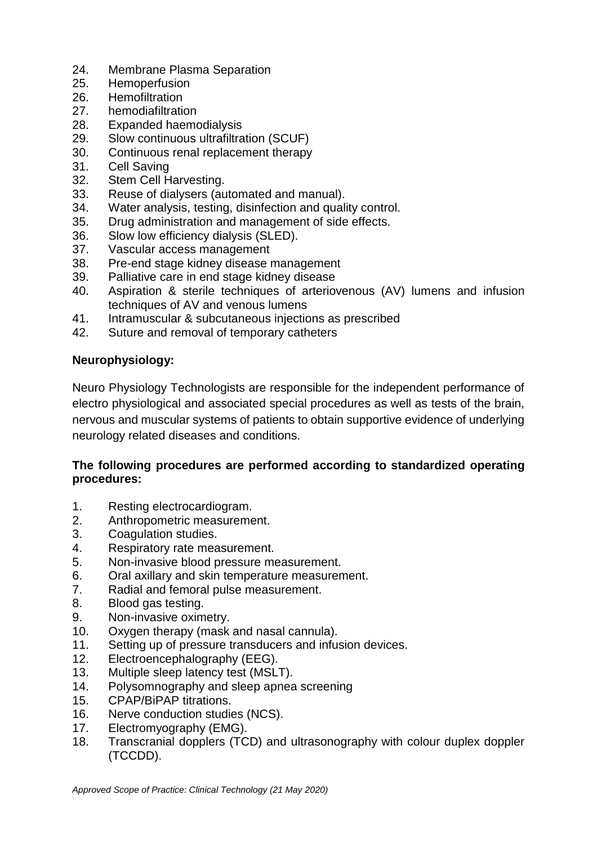- 24. Membrane Plasma Separation<br>25. Hemoperfusion
- Hemoperfusion
- 26. Hemofiltration
- 27. hemodiafiltration
- 28. Expanded haemodialysis
- 29. Slow continuous ultrafiltration (SCUF)
- 30. Continuous renal replacement therapy
- 31. Cell Saving
- 32. Stem Cell Harvesting.
- 33. Reuse of dialysers (automated and manual).
- 34. Water analysis, testing, disinfection and quality control.
- 35. Drug administration and management of side effects.
- 36. Slow low efficiency dialysis (SLED).
- 37. Vascular access management
- 38. Pre-end stage kidney disease management
- 39. Palliative care in end stage kidney disease
- 40. Aspiration & sterile techniques of arteriovenous (AV) lumens and infusion techniques of AV and venous lumens
- 41. Intramuscular & subcutaneous injections as prescribed
- 42. Suture and removal of temporary catheters

#### **Neurophysiology:**

Neuro Physiology Technologists are responsible for the independent performance of electro physiological and associated special procedures as well as tests of the brain, nervous and muscular systems of patients to obtain supportive evidence of underlying neurology related diseases and conditions.

- 1. Resting electrocardiogram.
- 2. Anthropometric measurement.
- 3. Coagulation studies.
- 4. Respiratory rate measurement.
- 5. Non-invasive blood pressure measurement.
- 6. Oral axillary and skin temperature measurement.
- 7. Radial and femoral pulse measurement.
- 8. Blood gas testing.
- 9. Non-invasive oximetry.
- 10. Oxygen therapy (mask and nasal cannula).
- 11. Setting up of pressure transducers and infusion devices.
- 12. Electroencephalography (EEG).
- 13. Multiple sleep latency test (MSLT).
- 14. Polysomnography and sleep apnea screening
- 15. CPAP/BiPAP titrations.
- 16. Nerve conduction studies (NCS).
- 17. Electromyography (EMG).
- 18. Transcranial dopplers (TCD) and ultrasonography with colour duplex doppler (TCCDD).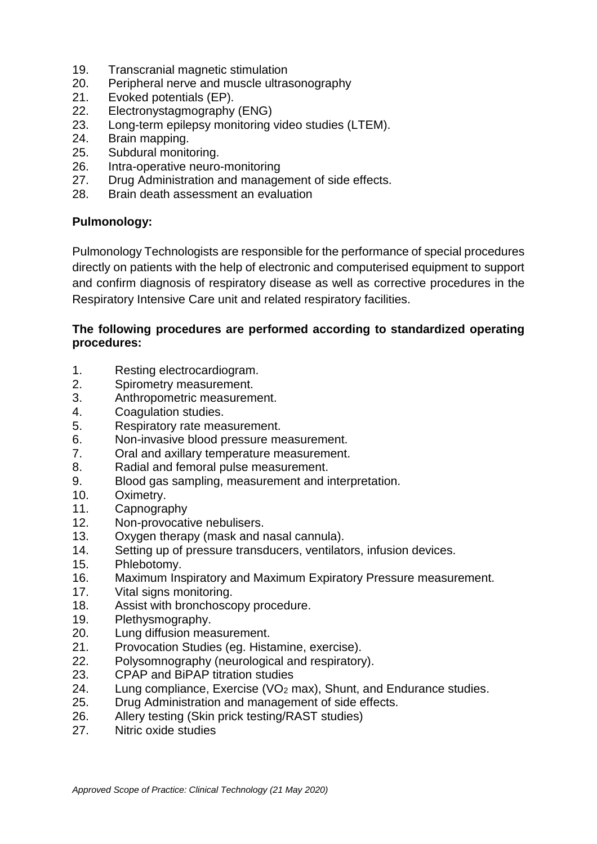- 19. Transcranial magnetic stimulation<br>20. Peripheral nerve and muscle ultras
- Peripheral nerve and muscle ultrasonography
- 21. Evoked potentials (EP).
- 22. Electronystagmography (ENG)
- 23. Long-term epilepsy monitoring video studies (LTEM).
- 24. Brain mapping.
- 25. Subdural monitoring.
- 26. Intra-operative neuro-monitoring
- 27. Drug Administration and management of side effects.
- 28. Brain death assessment an evaluation

#### **Pulmonology:**

Pulmonology Technologists are responsible for the performance of special procedures directly on patients with the help of electronic and computerised equipment to support and confirm diagnosis of respiratory disease as well as corrective procedures in the Respiratory Intensive Care unit and related respiratory facilities.

- 1. Resting electrocardiogram.
- 2. Spirometry measurement.
- 3. Anthropometric measurement.
- 4. Coagulation studies.
- 5. Respiratory rate measurement.
- 6. Non-invasive blood pressure measurement.
- 7. Oral and axillary temperature measurement.
- 8. Radial and femoral pulse measurement.
- 9. Blood gas sampling, measurement and interpretation.
- 10. Oximetry.
- 11. Capnography
- 12. Non-provocative nebulisers.
- 13. Oxygen therapy (mask and nasal cannula).
- 14. Setting up of pressure transducers, ventilators, infusion devices.
- 15. Phlebotomy.
- 16. Maximum Inspiratory and Maximum Expiratory Pressure measurement.
- 17. Vital signs monitoring.
- 18. Assist with bronchoscopy procedure.
- 19. Plethysmography.
- 20. Lung diffusion measurement.
- 21. Provocation Studies (eg. Histamine, exercise).
- 22. Polysomnography (neurological and respiratory).
- 23. CPAP and BiPAP titration studies
- 24. Lung compliance, Exercise (VO<sup>2</sup> max), Shunt, and Endurance studies.
- 25. Drug Administration and management of side effects.
- 26. Allery testing (Skin prick testing/RAST studies)
- 27. Nitric oxide studies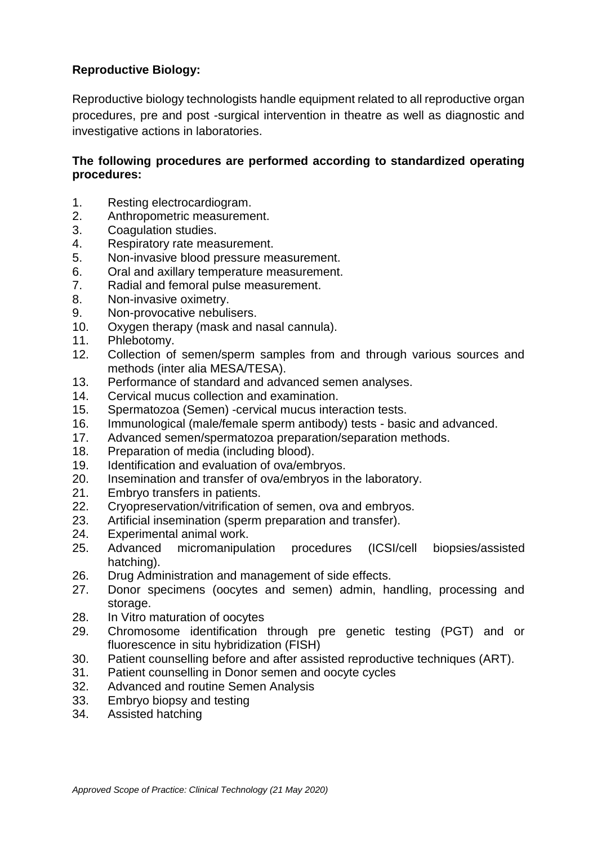## **Reproductive Biology:**

Reproductive biology technologists handle equipment related to all reproductive organ procedures, pre and post -surgical intervention in theatre as well as diagnostic and investigative actions in laboratories.

- 1. Resting electrocardiogram.
- 2. Anthropometric measurement.
- 3. Coagulation studies.
- 4. Respiratory rate measurement.
- 5. Non-invasive blood pressure measurement.
- 6. Oral and axillary temperature measurement.
- 7. Radial and femoral pulse measurement.
- 8. Non-invasive oximetry.
- 9. Non-provocative nebulisers.
- 10. Oxygen therapy (mask and nasal cannula).<br>11. Phlebotomv.
- Phlebotomy.
- 12. Collection of semen/sperm samples from and through various sources and methods (inter alia MESA/TESA).
- 13. Performance of standard and advanced semen analyses.
- 14. Cervical mucus collection and examination.
- 15. Spermatozoa (Semen) -cervical mucus interaction tests.
- 16. Immunological (male/female sperm antibody) tests basic and advanced.
- 17. Advanced semen/spermatozoa preparation/separation methods.
- 18. Preparation of media (including blood).
- 19. Identification and evaluation of ova/embryos.
- 20. Insemination and transfer of ova/embryos in the laboratory.
- 21. Embryo transfers in patients.
- 22. Cryopreservation/vitrification of semen, ova and embryos.
- 23. Artificial insemination (sperm preparation and transfer).
- 24. Experimental animal work.
- 25. Advanced micromanipulation procedures (ICSI/cell biopsies/assisted hatching).
- 26. Drug Administration and management of side effects.
- 27. Donor specimens (oocytes and semen) admin, handling, processing and storage.
- 28. In Vitro maturation of oocytes
- 29. Chromosome identification through pre genetic testing (PGT) and or fluorescence in situ hybridization (FISH)
- 30. Patient counselling before and after assisted reproductive techniques (ART).
- 31. Patient counselling in Donor semen and oocyte cycles
- 32. Advanced and routine Semen Analysis
- 33. Embryo biopsy and testing
- 34. Assisted hatching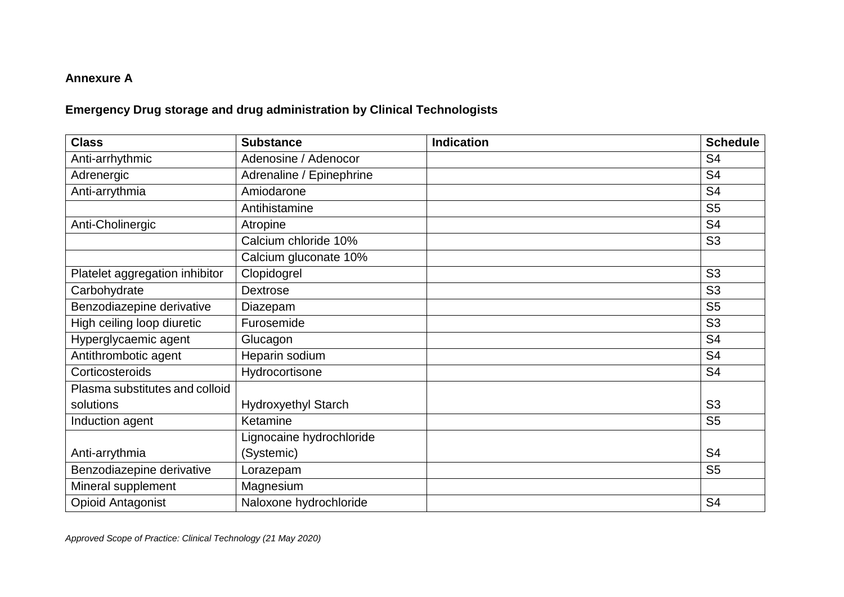## **Annexure A**

# **Emergency Drug storage and drug administration by Clinical Technologists**

| <b>Class</b>                   | <b>Substance</b>           | <b>Indication</b> | <b>Schedule</b> |
|--------------------------------|----------------------------|-------------------|-----------------|
| Anti-arrhythmic                | Adenosine / Adenocor       |                   | S <sub>4</sub>  |
| Adrenergic                     | Adrenaline / Epinephrine   |                   | S <sub>4</sub>  |
| Anti-arrythmia                 | Amiodarone                 |                   | S <sub>4</sub>  |
|                                | Antihistamine              |                   | S <sub>5</sub>  |
| Anti-Cholinergic               | Atropine                   |                   | S <sub>4</sub>  |
|                                | Calcium chloride 10%       |                   | S <sub>3</sub>  |
|                                | Calcium gluconate 10%      |                   |                 |
| Platelet aggregation inhibitor | Clopidogrel                |                   | S <sub>3</sub>  |
| Carbohydrate                   | <b>Dextrose</b>            |                   | S <sub>3</sub>  |
| Benzodiazepine derivative      | Diazepam                   |                   | S <sub>5</sub>  |
| High ceiling loop diuretic     | Furosemide                 |                   | S <sub>3</sub>  |
| Hyperglycaemic agent           | Glucagon                   |                   | S <sub>4</sub>  |
| Antithrombotic agent           | Heparin sodium             |                   | S <sub>4</sub>  |
| Corticosteroids                | Hydrocortisone             |                   | S <sub>4</sub>  |
| Plasma substitutes and colloid |                            |                   |                 |
| solutions                      | <b>Hydroxyethyl Starch</b> |                   | S <sub>3</sub>  |
| Induction agent                | Ketamine                   |                   | S <sub>5</sub>  |
|                                | Lignocaine hydrochloride   |                   |                 |
| Anti-arrythmia                 | (Systemic)                 |                   | S <sub>4</sub>  |
| Benzodiazepine derivative      | Lorazepam                  |                   | S <sub>5</sub>  |
| Mineral supplement             | Magnesium                  |                   |                 |
| <b>Opioid Antagonist</b>       | Naloxone hydrochloride     |                   | S <sub>4</sub>  |

*Approved Scope of Practice: Clinical Technology (21 May 2020)*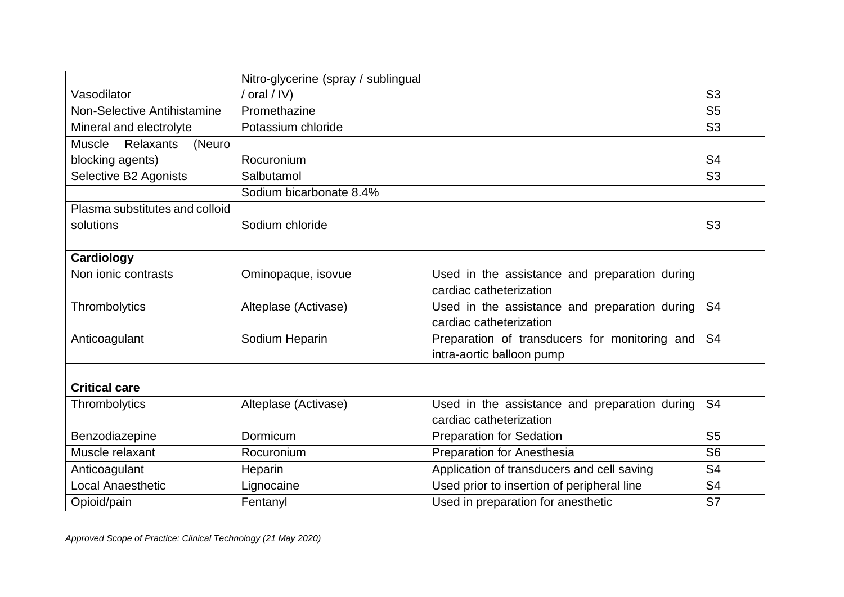|                                      | Nitro-glycerine (spray / sublingual |                                               |                |
|--------------------------------------|-------------------------------------|-----------------------------------------------|----------------|
| Vasodilator                          | / oral / IV)                        |                                               | S <sub>3</sub> |
| Non-Selective Antihistamine          | Promethazine                        |                                               | S <sub>5</sub> |
| Mineral and electrolyte              | Potassium chloride                  |                                               | S <sub>3</sub> |
| <b>Muscle</b><br>Relaxants<br>(Neuro |                                     |                                               |                |
| blocking agents)                     | Rocuronium                          |                                               | S <sub>4</sub> |
| Selective B2 Agonists                | Salbutamol                          |                                               | S <sub>3</sub> |
|                                      | Sodium bicarbonate 8.4%             |                                               |                |
| Plasma substitutes and colloid       |                                     |                                               |                |
| solutions                            | Sodium chloride                     |                                               | S <sub>3</sub> |
|                                      |                                     |                                               |                |
| Cardiology                           |                                     |                                               |                |
| Non ionic contrasts                  | Ominopaque, isovue                  | Used in the assistance and preparation during |                |
|                                      |                                     | cardiac catheterization                       |                |
| Thrombolytics                        | Alteplase (Activase)                | Used in the assistance and preparation during | S <sub>4</sub> |
|                                      |                                     | cardiac catheterization                       |                |
| Anticoagulant                        | Sodium Heparin                      | Preparation of transducers for monitoring and | S <sub>4</sub> |
|                                      |                                     | intra-aortic balloon pump                     |                |
|                                      |                                     |                                               |                |
| <b>Critical care</b>                 |                                     |                                               |                |
| Thrombolytics                        | Alteplase (Activase)                | Used in the assistance and preparation during | S <sub>4</sub> |
|                                      |                                     | cardiac catheterization                       |                |
| Benzodiazepine                       | Dormicum                            | <b>Preparation for Sedation</b>               | S <sub>5</sub> |
| Muscle relaxant                      | Rocuronium                          | <b>Preparation for Anesthesia</b>             | S <sub>6</sub> |
| Anticoagulant                        | Heparin                             | Application of transducers and cell saving    | S <sub>4</sub> |
| Local Anaesthetic                    | Lignocaine                          | Used prior to insertion of peripheral line    | S <sub>4</sub> |
| Opioid/pain                          | Fentanyl                            | Used in preparation for anesthetic            | S7             |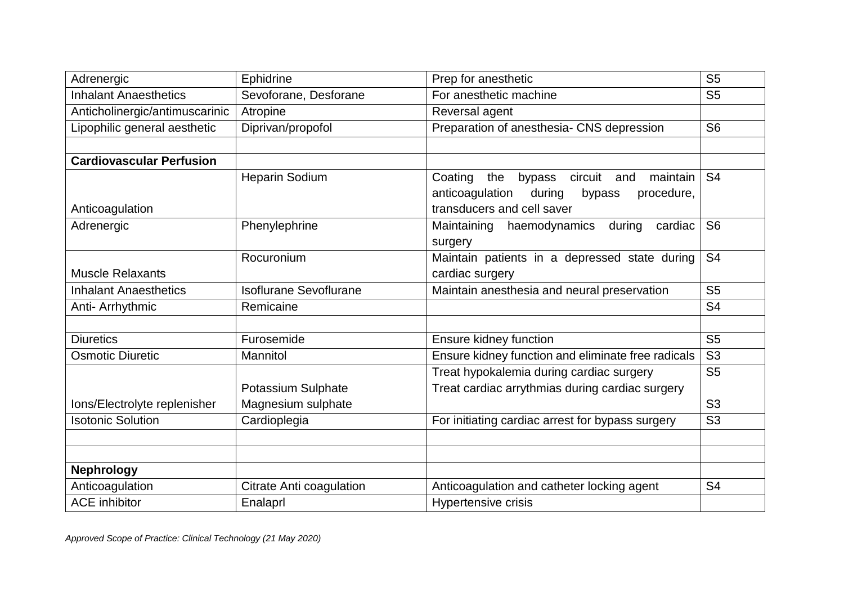| Adrenergic                      | Ephidrine                     | Prep for anesthetic                                    | S <sub>5</sub> |
|---------------------------------|-------------------------------|--------------------------------------------------------|----------------|
| <b>Inhalant Anaesthetics</b>    | Sevoforane, Desforane         | For anesthetic machine                                 | S <sub>5</sub> |
| Anticholinergic/antimuscarinic  | Atropine                      | Reversal agent                                         |                |
| Lipophilic general aesthetic    | Diprivan/propofol             | Preparation of anesthesia- CNS depression              | S <sub>6</sub> |
|                                 |                               |                                                        |                |
| <b>Cardiovascular Perfusion</b> |                               |                                                        |                |
|                                 | <b>Heparin Sodium</b>         | circuit<br>Coating<br>maintain<br>the<br>bypass<br>and | S <sub>4</sub> |
|                                 |                               | anticoagulation<br>during<br>bypass<br>procedure,      |                |
| Anticoagulation                 |                               | transducers and cell saver                             |                |
| Adrenergic                      | Phenylephrine                 | Maintaining<br>haemodynamics during<br>cardiac         | S <sub>6</sub> |
|                                 |                               | surgery                                                |                |
|                                 | Rocuronium                    | Maintain patients in a depressed state during          | S <sub>4</sub> |
| <b>Muscle Relaxants</b>         |                               | cardiac surgery                                        |                |
| <b>Inhalant Anaesthetics</b>    | <b>Isoflurane Sevoflurane</b> | Maintain anesthesia and neural preservation            | S <sub>5</sub> |
| Anti- Arrhythmic                | Remicaine                     |                                                        | S <sub>4</sub> |
|                                 |                               |                                                        |                |
| <b>Diuretics</b>                | Furosemide                    | Ensure kidney function                                 | S <sub>5</sub> |
| <b>Osmotic Diuretic</b>         | Mannitol                      | Ensure kidney function and eliminate free radicals     | S <sub>3</sub> |
|                                 |                               | Treat hypokalemia during cardiac surgery               | S <sub>5</sub> |
|                                 | Potassium Sulphate            | Treat cardiac arrythmias during cardiac surgery        |                |
| Ions/Electrolyte replenisher    | Magnesium sulphate            |                                                        | S <sub>3</sub> |
| <b>Isotonic Solution</b>        | Cardioplegia                  | For initiating cardiac arrest for bypass surgery       | S <sub>3</sub> |
|                                 |                               |                                                        |                |
|                                 |                               |                                                        |                |
| <b>Nephrology</b>               |                               |                                                        |                |
| Anticoagulation                 | Citrate Anti coagulation      | Anticoagulation and catheter locking agent             | S <sub>4</sub> |
| <b>ACE</b> inhibitor            | Enalaprl                      | Hypertensive crisis                                    |                |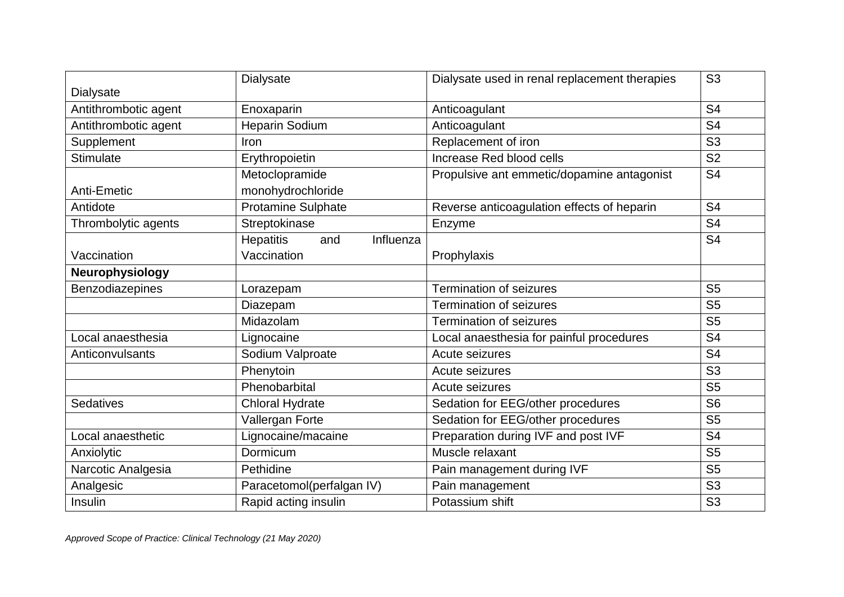|                      | Dialysate                            | Dialysate used in renal replacement therapies | S <sub>3</sub> |
|----------------------|--------------------------------------|-----------------------------------------------|----------------|
| <b>Dialysate</b>     |                                      |                                               |                |
| Antithrombotic agent | Enoxaparin                           | Anticoagulant                                 | S <sub>4</sub> |
| Antithrombotic agent | <b>Heparin Sodium</b>                | Anticoagulant                                 | S <sub>4</sub> |
| Supplement           | Iron                                 | Replacement of iron                           | S <sub>3</sub> |
| <b>Stimulate</b>     | Erythropoietin                       | Increase Red blood cells                      | S <sub>2</sub> |
|                      | Metoclopramide                       | Propulsive ant emmetic/dopamine antagonist    | S <sub>4</sub> |
| Anti-Emetic          | monohydrochloride                    |                                               |                |
| Antidote             | <b>Protamine Sulphate</b>            | Reverse anticoagulation effects of heparin    | S <sub>4</sub> |
| Thrombolytic agents  | Streptokinase                        | Enzyme                                        | S <sub>4</sub> |
|                      | <b>Hepatitis</b><br>Influenza<br>and |                                               | S <sub>4</sub> |
| Vaccination          | Vaccination                          | Prophylaxis                                   |                |
| Neurophysiology      |                                      |                                               |                |
| Benzodiazepines      | Lorazepam                            | <b>Termination of seizures</b>                | S <sub>5</sub> |
|                      | Diazepam                             | <b>Termination of seizures</b>                | S <sub>5</sub> |
|                      | Midazolam                            | <b>Termination of seizures</b>                | S <sub>5</sub> |
| Local anaesthesia    | Lignocaine                           | Local anaesthesia for painful procedures      | S <sub>4</sub> |
| Anticonvulsants      | Sodium Valproate                     | Acute seizures                                | S <sub>4</sub> |
|                      | Phenytoin                            | Acute seizures                                | S <sub>3</sub> |
|                      | Phenobarbital                        | Acute seizures                                | S <sub>5</sub> |
| <b>Sedatives</b>     | <b>Chloral Hydrate</b>               | Sedation for EEG/other procedures             | S <sub>6</sub> |
|                      | Vallergan Forte                      | Sedation for EEG/other procedures             | S <sub>5</sub> |
| Local anaesthetic    | Lignocaine/macaine                   | Preparation during IVF and post IVF           | S <sub>4</sub> |
| Anxiolytic           | Dormicum                             | Muscle relaxant                               | S <sub>5</sub> |
| Narcotic Analgesia   | Pethidine                            | Pain management during IVF                    | S <sub>5</sub> |
| Analgesic            | Paracetomol(perfalgan IV)            | Pain management                               | S <sub>3</sub> |
| Insulin              | Rapid acting insulin                 | Potassium shift                               | S <sub>3</sub> |